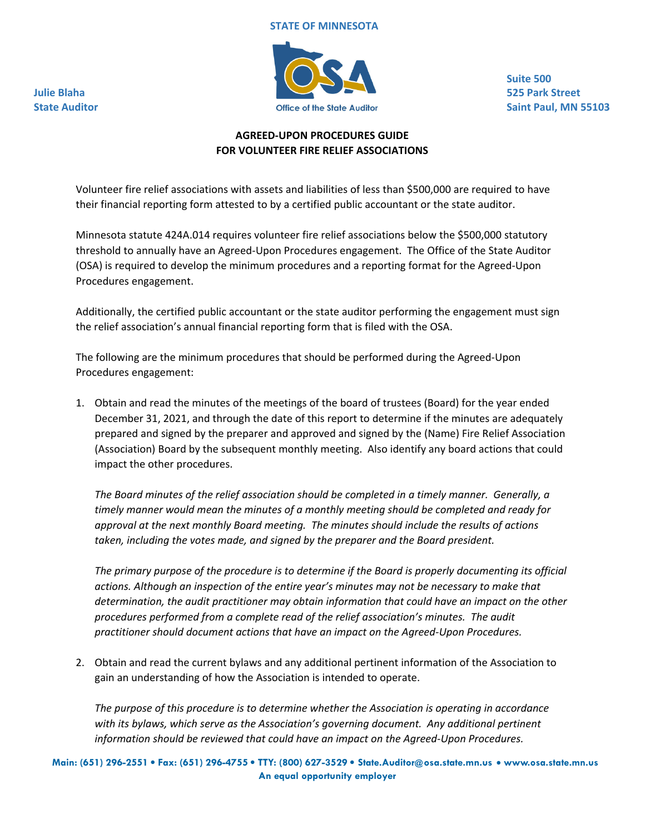#### **STATE OF MINNESOTA**



**Suite 500 525 Park Street Saint Paul, MN 55103**

# **AGREED‐UPON PROCEDURES GUIDE FOR VOLUNTEER FIRE RELIEF ASSOCIATIONS**

Volunteer fire relief associations with assets and liabilities of less than \$500,000 are required to have their financial reporting form attested to by a certified public accountant or the state auditor.

Minnesota statute 424A.014 requires volunteer fire relief associations below the \$500,000 statutory threshold to annually have an Agreed‐Upon Procedures engagement. The Office of the State Auditor (OSA) is required to develop the minimum procedures and a reporting format for the Agreed‐Upon Procedures engagement.

Additionally, the certified public accountant or the state auditor performing the engagement must sign the relief association's annual financial reporting form that is filed with the OSA.

The following are the minimum procedures that should be performed during the Agreed‐Upon Procedures engagement:

1. Obtain and read the minutes of the meetings of the board of trustees (Board) for the year ended December 31, 2021, and through the date of this report to determine if the minutes are adequately prepared and signed by the preparer and approved and signed by the (Name) Fire Relief Association (Association) Board by the subsequent monthly meeting. Also identify any board actions that could impact the other procedures.

*The Board minutes of the relief association should be completed in a timely manner. Generally, a timely manner would mean the minutes of a monthly meeting should be completed and ready for approval at the next monthly Board meeting. The minutes should include the results of actions taken, including the votes made, and signed by the preparer and the Board president.*

*The primary purpose of the procedure is to determine if the Board is properly documenting its official actions. Although an inspection of the entire year's minutes may not be necessary to make that determination, the audit practitioner may obtain information that could have an impact on the other procedures performed from a complete read of the relief association's minutes. The audit practitioner should document actions that have an impact on the Agreed‐Upon Procedures.*

2. Obtain and read the current bylaws and any additional pertinent information of the Association to gain an understanding of how the Association is intended to operate.

*The purpose of this procedure is to determine whether the Association is operating in accordance with its bylaws, which serve as the Association's governing document. Any additional pertinent information should be reviewed that could have an impact on the Agreed‐Upon Procedures.*

**Julie Blaha State Auditor**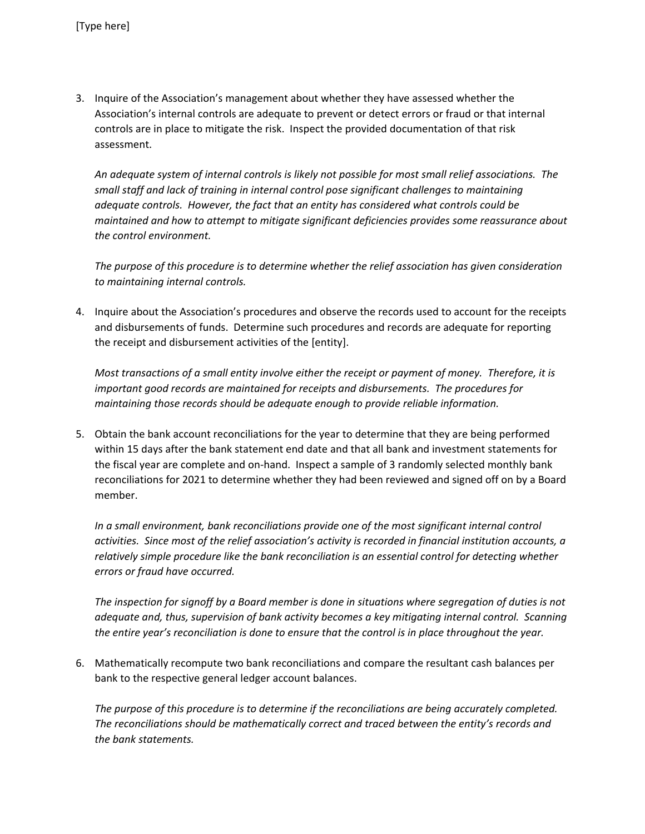3. Inquire of the Association's management about whether they have assessed whether the Association's internal controls are adequate to prevent or detect errors or fraud or that internal controls are in place to mitigate the risk. Inspect the provided documentation of that risk assessment.

*An adequate system of internal controls is likely not possible for most small relief associations. The small staff and lack of training in internal control pose significant challenges to maintaining adequate controls. However, the fact that an entity has considered what controls could be maintained and how to attempt to mitigate significant deficiencies provides some reassurance about the control environment.*

*The purpose of this procedure is to determine whether the relief association has given consideration to maintaining internal controls.*

4. Inquire about the Association's procedures and observe the records used to account for the receipts and disbursements of funds. Determine such procedures and records are adequate for reporting the receipt and disbursement activities of the [entity].

Most transactions of a small entity involve either the receipt or payment of money. Therefore, it is *important good records are maintained for receipts and disbursements. The procedures for maintaining those records should be adequate enough to provide reliable information.*

5. Obtain the bank account reconciliations for the year to determine that they are being performed within 15 days after the bank statement end date and that all bank and investment statements for the fiscal year are complete and on‐hand. Inspect a sample of 3 randomly selected monthly bank reconciliations for 2021 to determine whether they had been reviewed and signed off on by a Board member.

*In a small environment, bank reconciliations provide one of the most significant internal control activities. Since most of the relief association's activity is recorded in financial institution accounts, a relatively simple procedure like the bank reconciliation is an essential control for detecting whether errors or fraud have occurred.*

The inspection for signoff by a Board member is done in situations where segregation of duties is not *adequate and, thus, supervision of bank activity becomes a key mitigating internal control. Scanning the entire year's reconciliation is done to ensure that the control is in place throughout the year.*

6. Mathematically recompute two bank reconciliations and compare the resultant cash balances per bank to the respective general ledger account balances.

*The purpose of this procedure is to determine if the reconciliations are being accurately completed. The reconciliations should be mathematically correct and traced between the entity's records and the bank statements.*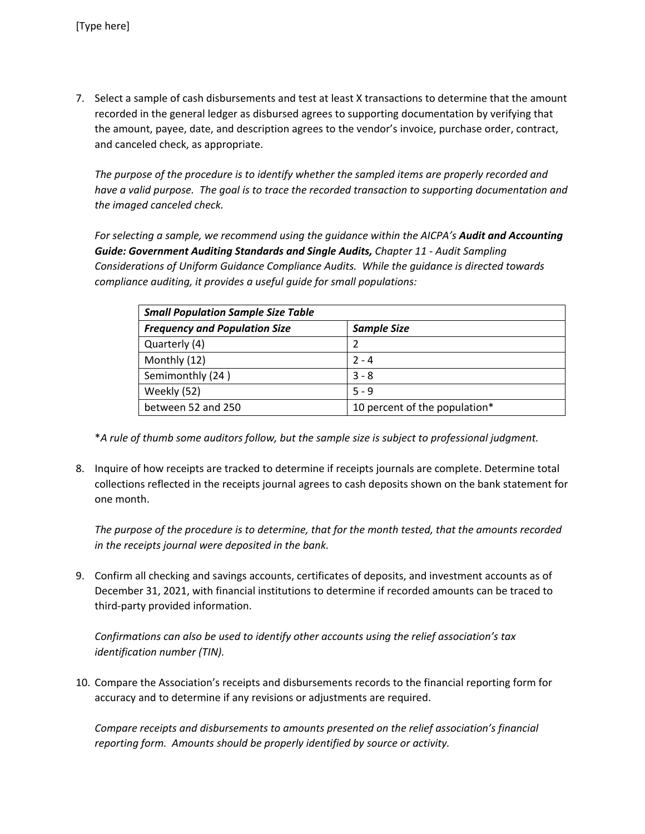7. Select a sample of cash disbursements and test at least X transactions to determine that the amount recorded in the general ledger as disbursed agrees to supporting documentation by verifying that the amount, payee, date, and description agrees to the vendor's invoice, purchase order, contract, and canceled check, as appropriate.

*The purpose of the procedure is to identify whether the sampled items are properly recorded and have a valid purpose. The goal is to trace the recorded transaction to supporting documentation and the imaged canceled check.*

*For selecting a sample, we recommend using the guidance within the AICPA's Audit and Accounting Guide: Government Auditing Standards and Single Audits, Chapter 11 ‐ Audit Sampling Considerations of Uniform Guidance Compliance Audits. While the guidance is directed towards compliance auditing, it provides a useful guide for small populations:*

| <b>Small Population Sample Size Table</b> |                               |
|-------------------------------------------|-------------------------------|
| <b>Frequency and Population Size</b>      | <b>Sample Size</b>            |
| Quarterly (4)                             |                               |
| Monthly (12)                              | $2 - 4$                       |
| Semimonthly (24)                          | $3 - 8$                       |
| Weekly (52)                               | $5 - 9$                       |
| between 52 and 250                        | 10 percent of the population* |

\**A rule of thumb some auditors follow, but the sample size is subject to professional judgment.* 

8. Inquire of how receipts are tracked to determine if receipts journals are complete. Determine total collections reflected in the receipts journal agrees to cash deposits shown on the bank statement for one month.

*The purpose of the procedure is to determine, that for the month tested, that the amounts recorded in the receipts journal were deposited in the bank.*

9. Confirm all checking and savings accounts, certificates of deposits, and investment accounts as of December 31, 2021, with financial institutions to determine if recorded amounts can be traced to third‐party provided information.

*Confirmations can also be used to identify other accounts using the relief association's tax identification number (TIN).* 

10. Compare the Association's receipts and disbursements records to the financial reporting form for accuracy and to determine if any revisions or adjustments are required.

*Compare receipts and disbursements to amounts presented on the relief association's financial reporting form. Amounts should be properly identified by source or activity.*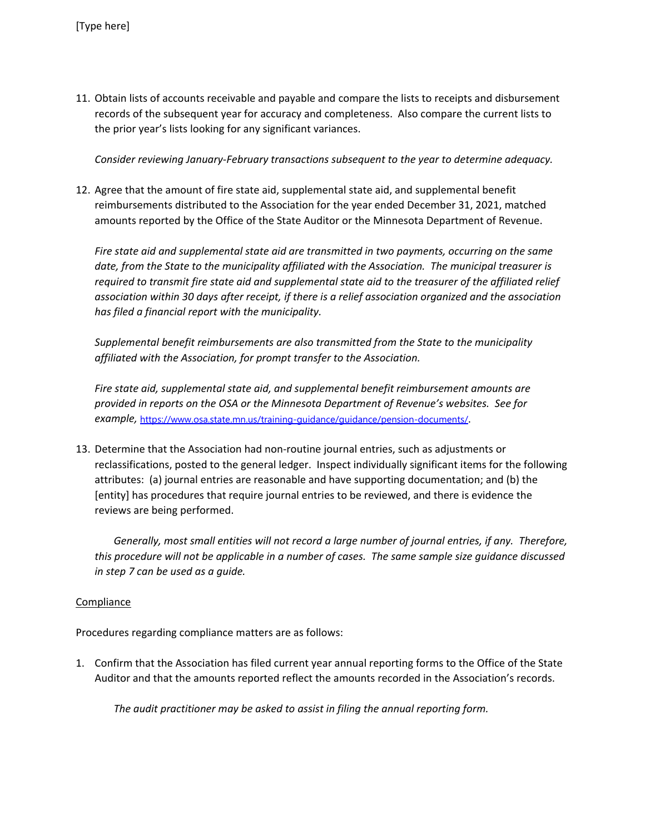11. Obtain lists of accounts receivable and payable and compare the lists to receipts and disbursement records of the subsequent year for accuracy and completeness. Also compare the current lists to the prior year's lists looking for any significant variances.

*Consider reviewing January‐February transactions subsequent to the year to determine adequacy.*

12. Agree that the amount of fire state aid, supplemental state aid, and supplemental benefit reimbursements distributed to the Association for the year ended December 31, 2021, matched amounts reported by the Office of the State Auditor or the Minnesota Department of Revenue.

*Fire state aid and supplemental state aid are transmitted in two payments, occurring on the same date, from the State to the municipality affiliated with the Association. The municipal treasurer is required to transmit fire state aid and supplemental state aid to the treasurer of the affiliated relief association within 30 days after receipt, if there is a relief association organized and the association has filed a financial report with the municipality.* 

*Supplemental benefit reimbursements are also transmitted from the State to the municipality affiliated with the Association, for prompt transfer to the Association.* 

*Fire state aid, supplemental state aid, and supplemental benefit reimbursement amounts are provided in reports on the OSA or the Minnesota Department of Revenue's websites. See for example,* https://www.osa.state.mn.us/training-guidance/guidance/pension-documents/.

13. Determine that the Association had non‐routine journal entries, such as adjustments or reclassifications, posted to the general ledger. Inspect individually significant items for the following attributes: (a) journal entries are reasonable and have supporting documentation; and (b) the [entity] has procedures that require journal entries to be reviewed, and there is evidence the reviews are being performed.

Generally, most small entities will not record a large number of journal entries, if any. Therefore, this procedure will not be applicable in a number of cases. The same sample size guidance discussed *in step 7 can be used as a guide.*

## **Compliance**

Procedures regarding compliance matters are as follows:

1. Confirm that the Association has filed current year annual reporting forms to the Office of the State Auditor and that the amounts reported reflect the amounts recorded in the Association's records.

 *The audit practitioner may be asked to assist in filing the annual reporting form.*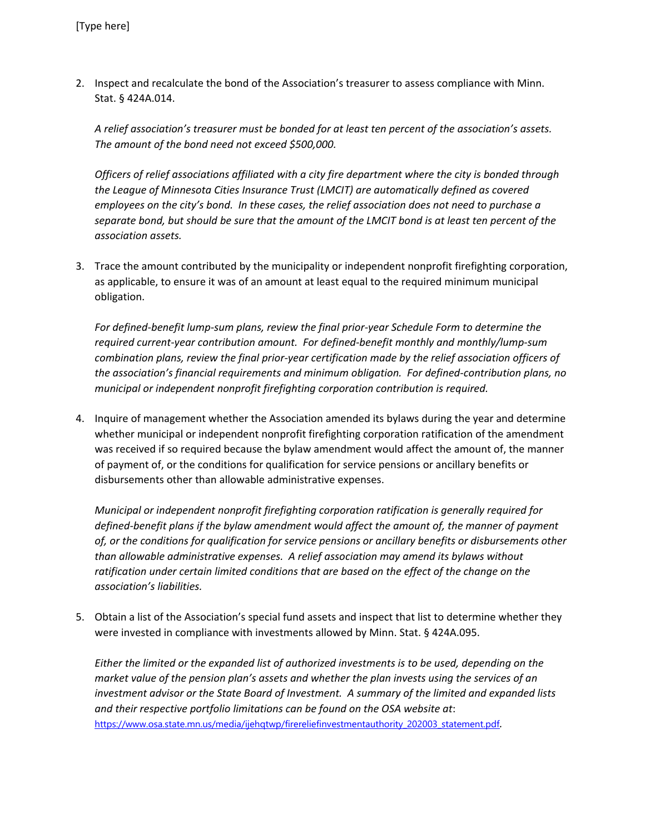2. Inspect and recalculate the bond of the Association's treasurer to assess compliance with Minn. Stat. § 424A.014.

*A relief association's treasurer must be bonded for at least ten percent of the association's assets. The amount of the bond need not exceed \$500,000.* 

*Officers of relief associations affiliated with a city fire department where the city is bonded through the League of Minnesota Cities Insurance Trust (LMCIT) are automatically defined as covered employees on the city's bond. In these cases, the relief association does not need to purchase a* separate bond, but should be sure that the amount of the LMCIT bond is at least ten percent of the *association assets.*

3. Trace the amount contributed by the municipality or independent nonprofit firefighting corporation, as applicable, to ensure it was of an amount at least equal to the required minimum municipal obligation.

For defined-benefit lump-sum plans, review the final prior-year Schedule Form to determine the *required current‐year contribution amount. For defined‐benefit monthly and monthly/lump‐sum combination plans, review the final prior‐year certification made by the relief association officers of the association's financial requirements and minimum obligation. For defined‐contribution plans, no municipal or independent nonprofit firefighting corporation contribution is required.* 

4. Inquire of management whether the Association amended its bylaws during the year and determine whether municipal or independent nonprofit firefighting corporation ratification of the amendment was received if so required because the bylaw amendment would affect the amount of, the manner of payment of, or the conditions for qualification for service pensions or ancillary benefits or disbursements other than allowable administrative expenses.

*Municipal or independent nonprofit firefighting corporation ratification is generally required for defined‐benefit plans if the bylaw amendment would affect the amount of, the manner of payment of, or the conditions for qualification for service pensions or ancillary benefits or disbursements other than allowable administrative expenses. A relief association may amend its bylaws without ratification under certain limited conditions that are based on the effect of the change on the association's liabilities.* 

5. Obtain a list of the Association's special fund assets and inspect that list to determine whether they were invested in compliance with investments allowed by Minn. Stat. § 424A.095.

*Either the limited or the expanded list of authorized investments is to be used, depending on the market value of the pension plan's assets and whether the plan invests using the services of an investment advisor or the State Board of Investment. A summary of the limited and expanded lists and their respective portfolio limitations can be found on the OSA website at*: https://www.osa.state.mn.us/media/ijehqtwp/firereliefinvestmentauthority\_202003\_statement.pdf*.*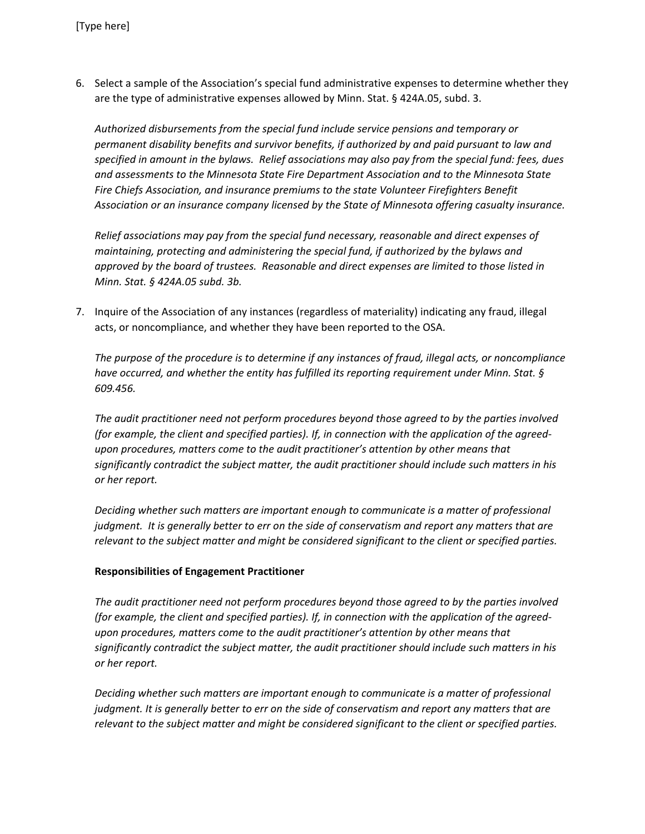6. Select a sample of the Association's special fund administrative expenses to determine whether they are the type of administrative expenses allowed by Minn. Stat. § 424A.05, subd. 3.

*Authorized disbursements from the special fund include service pensions and temporary or permanent disability benefits and survivor benefits, if authorized by and paid pursuant to law and* specified in amount in the bylaws. Relief associations may also pay from the special fund: fees, dues *and assessments to the Minnesota State Fire Department Association and to the Minnesota State Fire Chiefs Association, and insurance premiums to the state Volunteer Firefighters Benefit Association or an insurance company licensed by the State of Minnesota offering casualty insurance.* 

*Relief associations may pay from the special fund necessary, reasonable and direct expenses of maintaining, protecting and administering the special fund, if authorized by the bylaws and approved by the board of trustees. Reasonable and direct expenses are limited to those listed in Minn. Stat. § 424A.05 subd. 3b.*

7. Inquire of the Association of any instances (regardless of materiality) indicating any fraud, illegal acts, or noncompliance, and whether they have been reported to the OSA.

*The purpose of the procedure is to determine if any instances of fraud, illegal acts, or noncompliance have occurred, and whether the entity has fulfilled its reporting requirement under Minn. Stat. § 609.456.*

*The audit practitioner need not perform procedures beyond those agreed to by the parties involved (for example, the client and specified parties). If, in connection with the application of the agreed‐ upon procedures, matters come to the audit practitioner's attention by other means that significantly contradict the subject matter, the audit practitioner should include such matters in his or her report.*

*Deciding whether such matters are important enough to communicate is a matter of professional* judgment. It is generally better to err on the side of conservatism and report any matters that are *relevant to the subject matter and might be considered significant to the client or specified parties.*

## **Responsibilities of Engagement Practitioner**

*The audit practitioner need not perform procedures beyond those agreed to by the parties involved (for example, the client and specified parties). If, in connection with the application of the agreed‐ upon procedures, matters come to the audit practitioner's attention by other means that significantly contradict the subject matter, the audit practitioner should include such matters in his or her report.*

*Deciding whether such matters are important enough to communicate is a matter of professional* judgment. It is generally better to err on the side of conservatism and report any matters that are *relevant to the subject matter and might be considered significant to the client or specified parties.*